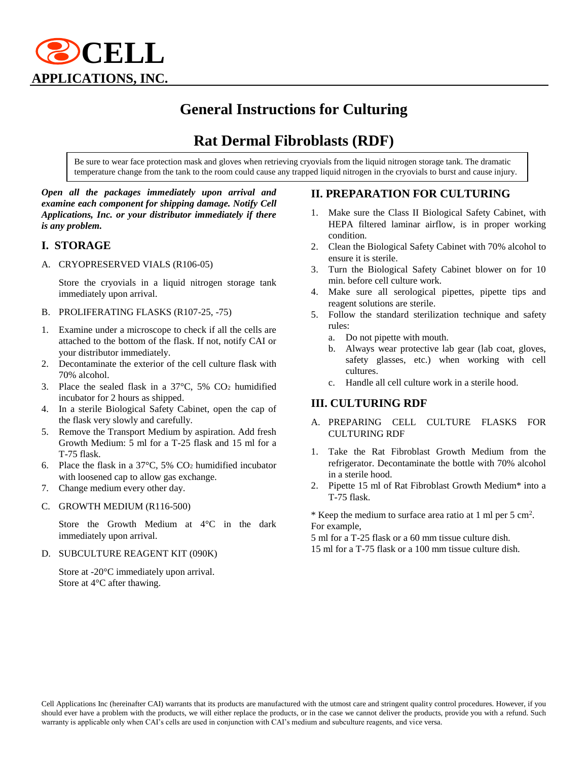

# **General Instructions for Culturing**

## **Rat Dermal Fibroblasts (RDF)**

Be sure to wear face protection mask and gloves when retrieving cryovials from the liquid nitrogen storage tank. The dramatic temperature change from the tank to the room could cause any trapped liquid nitrogen in the cryovials to burst and cause injury.

#### *Open all the packages immediately upon arrival and examine each component for shipping damage. Notify Cell Applications, Inc. or your distributor immediately if there is any problem.*

#### **I. STORAGE**

A. CRYOPRESERVED VIALS (R106-05)

Store the cryovials in a liquid nitrogen storage tank immediately upon arrival.

- B. PROLIFERATING FLASKS (R107-25, -75)
- 1. Examine under a microscope to check if all the cells are attached to the bottom of the flask. If not, notify CAI or your distributor immediately.
- 2. Decontaminate the exterior of the cell culture flask with 70% alcohol.
- 3. Place the sealed flask in a  $37^{\circ}$ C,  $5\%$  CO<sub>2</sub> humidified incubator for 2 hours as shipped.
- 4. In a sterile Biological Safety Cabinet, open the cap of the flask very slowly and carefully.
- 5. Remove the Transport Medium by aspiration. Add fresh Growth Medium: 5 ml for a T-25 flask and 15 ml for a T-75 flask.
- 6. Place the flask in a 37°C, 5% CO<sup>2</sup> humidified incubator with loosened cap to allow gas exchange.
- 7. Change medium every other day.
- C. GROWTH MEDIUM (R116-500)

Store the Growth Medium at 4°C in the dark immediately upon arrival.

D. SUBCULTURE REAGENT KIT (090K)

Store at -20°C immediately upon arrival. Store at 4°C after thawing.

#### **II. PREPARATION FOR CULTURING**

- Make sure the Class II Biological Safety Cabinet, with HEPA filtered laminar airflow, is in proper working condition.
- 2. Clean the Biological Safety Cabinet with 70% alcohol to ensure it is sterile.
- 3. Turn the Biological Safety Cabinet blower on for 10 min. before cell culture work.
- 4. Make sure all serological pipettes, pipette tips and reagent solutions are sterile.
- 5. Follow the standard sterilization technique and safety rules:
	- a. Do not pipette with mouth.
	- b. Always wear protective lab gear (lab coat, gloves, safety glasses, etc.) when working with cell cultures.
	- c. Handle all cell culture work in a sterile hood.

#### **III. CULTURING RDF**

- A. PREPARING CELL CULTURE FLASKS FOR CULTURING RDF
- 1. Take the Rat Fibroblast Growth Medium from the refrigerator. Decontaminate the bottle with 70% alcohol in a sterile hood.
- 2. Pipette 15 ml of Rat Fibroblast Growth Medium\* into a T-75 flask.

\* Keep the medium to surface area ratio at 1 ml per 5 cm<sup>2</sup>. For example,

5 ml for a T-25 flask or a 60 mm tissue culture dish. 15 ml for a T-75 flask or a 100 mm tissue culture dish.